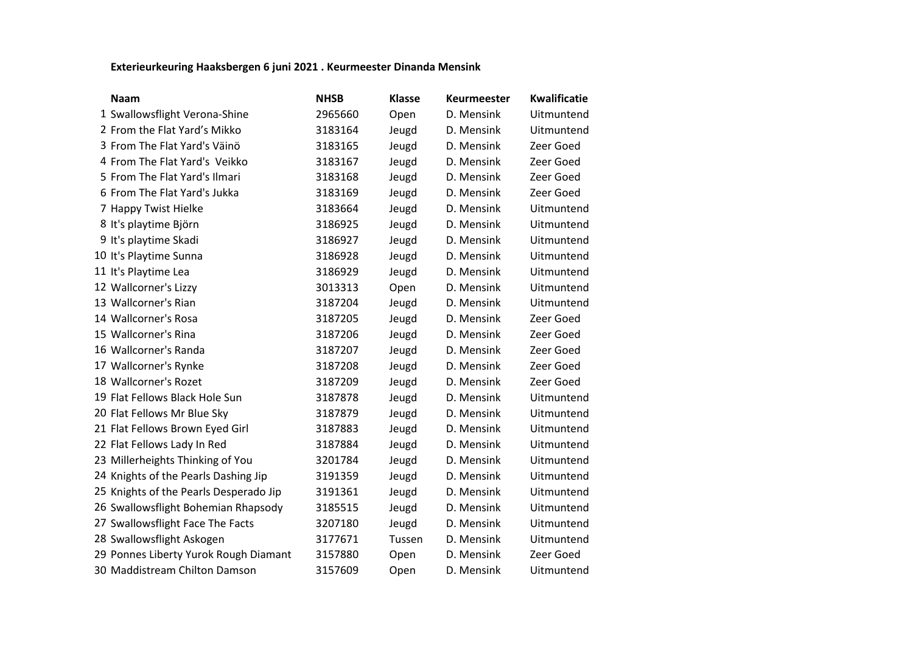## **Exterieurkeuring Haaksbergen 6 juni 2021 . Keurmeester Dinanda Mensink**

| <b>Naam</b>                            | <b>NHSB</b> | <b>Klasse</b> | Keurmeester | <b>Kwalificatie</b> |
|----------------------------------------|-------------|---------------|-------------|---------------------|
| 1 Swallowsflight Verona-Shine          | 2965660     | Open          | D. Mensink  | Uitmuntend          |
| 2 From the Flat Yard's Mikko           | 3183164     | Jeugd         | D. Mensink  | Uitmuntend          |
| 3 From The Flat Yard's Väinö           | 3183165     | Jeugd         | D. Mensink  | Zeer Goed           |
| 4 From The Flat Yard's Veikko          | 3183167     | Jeugd         | D. Mensink  | Zeer Goed           |
| 5 From The Flat Yard's Ilmari          | 3183168     | Jeugd         | D. Mensink  | Zeer Goed           |
| 6 From The Flat Yard's Jukka           | 3183169     | Jeugd         | D. Mensink  | Zeer Goed           |
| 7 Happy Twist Hielke                   | 3183664     | Jeugd         | D. Mensink  | Uitmuntend          |
| 8 It's playtime Björn                  | 3186925     | Jeugd         | D. Mensink  | Uitmuntend          |
| 9 It's playtime Skadi                  | 3186927     | Jeugd         | D. Mensink  | Uitmuntend          |
| 10 It's Playtime Sunna                 | 3186928     | Jeugd         | D. Mensink  | Uitmuntend          |
| 11 It's Playtime Lea                   | 3186929     | Jeugd         | D. Mensink  | Uitmuntend          |
| 12 Wallcorner's Lizzy                  | 3013313     | Open          | D. Mensink  | Uitmuntend          |
| 13 Wallcorner's Rian                   | 3187204     | Jeugd         | D. Mensink  | Uitmuntend          |
| 14 Wallcorner's Rosa                   | 3187205     | Jeugd         | D. Mensink  | Zeer Goed           |
| 15 Wallcorner's Rina                   | 3187206     | Jeugd         | D. Mensink  | Zeer Goed           |
| 16 Wallcorner's Randa                  | 3187207     | Jeugd         | D. Mensink  | Zeer Goed           |
| 17 Wallcorner's Rynke                  | 3187208     | Jeugd         | D. Mensink  | Zeer Goed           |
| 18 Wallcorner's Rozet                  | 3187209     | Jeugd         | D. Mensink  | Zeer Goed           |
| 19 Flat Fellows Black Hole Sun         | 3187878     | Jeugd         | D. Mensink  | Uitmuntend          |
| 20 Flat Fellows Mr Blue Sky            | 3187879     | Jeugd         | D. Mensink  | Uitmuntend          |
| 21 Flat Fellows Brown Eyed Girl        | 3187883     | Jeugd         | D. Mensink  | Uitmuntend          |
| 22 Flat Fellows Lady In Red            | 3187884     | Jeugd         | D. Mensink  | Uitmuntend          |
| 23 Millerheights Thinking of You       | 3201784     | Jeugd         | D. Mensink  | Uitmuntend          |
| 24 Knights of the Pearls Dashing Jip   | 3191359     | Jeugd         | D. Mensink  | Uitmuntend          |
| 25 Knights of the Pearls Desperado Jip | 3191361     | Jeugd         | D. Mensink  | Uitmuntend          |
| 26 Swallowsflight Bohemian Rhapsody    | 3185515     | Jeugd         | D. Mensink  | Uitmuntend          |
| 27 Swallowsflight Face The Facts       | 3207180     | Jeugd         | D. Mensink  | Uitmuntend          |
| 28 Swallowsflight Askogen              | 3177671     | Tussen        | D. Mensink  | Uitmuntend          |
| 29 Ponnes Liberty Yurok Rough Diamant  | 3157880     | Open          | D. Mensink  | Zeer Goed           |
| 30 Maddistream Chilton Damson          | 3157609     | Open          | D. Mensink  | Uitmuntend          |